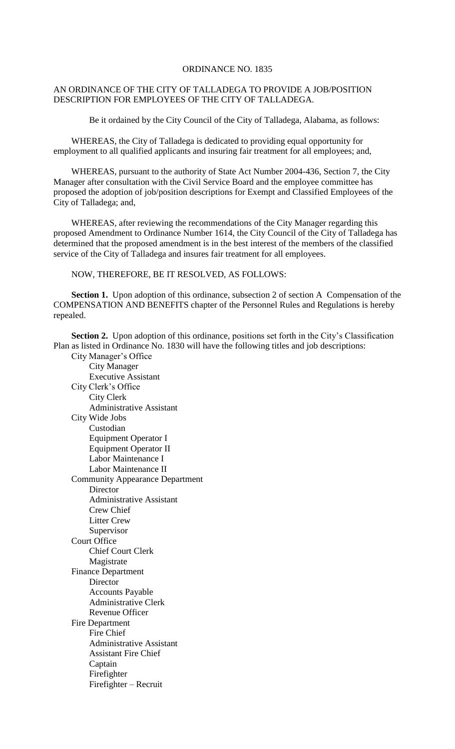## ORDINANCE NO. 1835

## AN ORDINANCE OF THE CITY OF TALLADEGA TO PROVIDE A JOB/POSITION DESCRIPTION FOR EMPLOYEES OF THE CITY OF TALLADEGA.

Be it ordained by the City Council of the City of Talladega, Alabama, as follows:

WHEREAS, the City of Talladega is dedicated to providing equal opportunity for employment to all qualified applicants and insuring fair treatment for all employees; and,

WHEREAS, pursuant to the authority of State Act Number 2004-436, Section 7, the City Manager after consultation with the Civil Service Board and the employee committee has proposed the adoption of job/position descriptions for Exempt and Classified Employees of the City of Talladega; and,

WHEREAS, after reviewing the recommendations of the City Manager regarding this proposed Amendment to Ordinance Number 1614, the City Council of the City of Talladega has determined that the proposed amendment is in the best interest of the members of the classified service of the City of Talladega and insures fair treatment for all employees.

NOW, THEREFORE, BE IT RESOLVED, AS FOLLOWS:

**Section 1.** Upon adoption of this ordinance, subsection 2 of section A Compensation of the COMPENSATION AND BENEFITS chapter of the Personnel Rules and Regulations is hereby repealed.

Section 2. Upon adoption of this ordinance, positions set forth in the City's Classification Plan as listed in Ordinance No. 1830 will have the following titles and job descriptions:

City Manager's Office City Manager Executive Assistant City Clerk's Office City Clerk Administrative Assistant City Wide Jobs Custodian Equipment Operator I Equipment Operator II Labor Maintenance I Labor Maintenance II Community Appearance Department Director Administrative Assistant Crew Chief Litter Crew Supervisor Court Office Chief Court Clerk Magistrate Finance Department **Director** Accounts Payable Administrative Clerk Revenue Officer Fire Department Fire Chief Administrative Assistant Assistant Fire Chief Captain Firefighter Firefighter – Recruit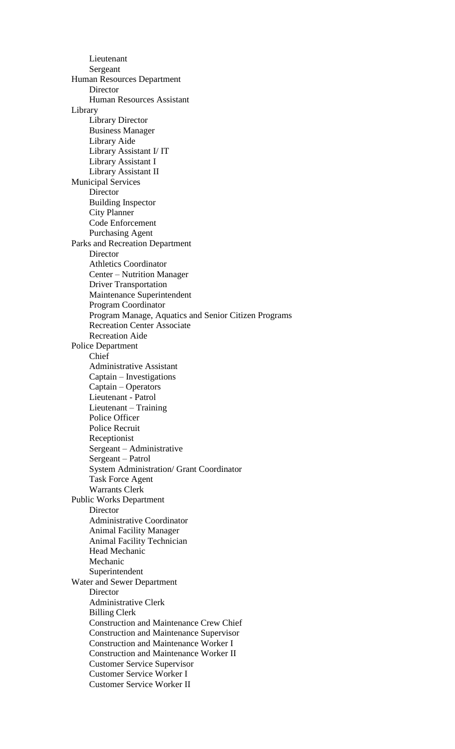Lieutenant Sergeant Human Resources Department **Director** Human Resources Assistant Library Library Director Business Manager Library Aide Library Assistant I/ IT Library Assistant I Library Assistant II Municipal Services Director Building Inspector City Planner Code Enforcement Purchasing Agent Parks and Recreation Department **Director** Athletics Coordinator Center – Nutrition Manager Driver Transportation Maintenance Superintendent Program Coordinator Program Manage, Aquatics and Senior Citizen Programs Recreation Center Associate Recreation Aide Police Department Chief Administrative Assistant Captain – Investigations Captain – Operators Lieutenant - Patrol Lieutenant – Training Police Officer Police Recruit Receptionist Sergeant – Administrative Sergeant – Patrol System Administration/ Grant Coordinator Task Force Agent Warrants Clerk Public Works Department **Director** Administrative Coordinator Animal Facility Manager Animal Facility Technician Head Mechanic Mechanic Superintendent Water and Sewer Department **Director** Administrative Clerk Billing Clerk Construction and Maintenance Crew Chief Construction and Maintenance Supervisor Construction and Maintenance Worker I Construction and Maintenance Worker II Customer Service Supervisor Customer Service Worker I Customer Service Worker II